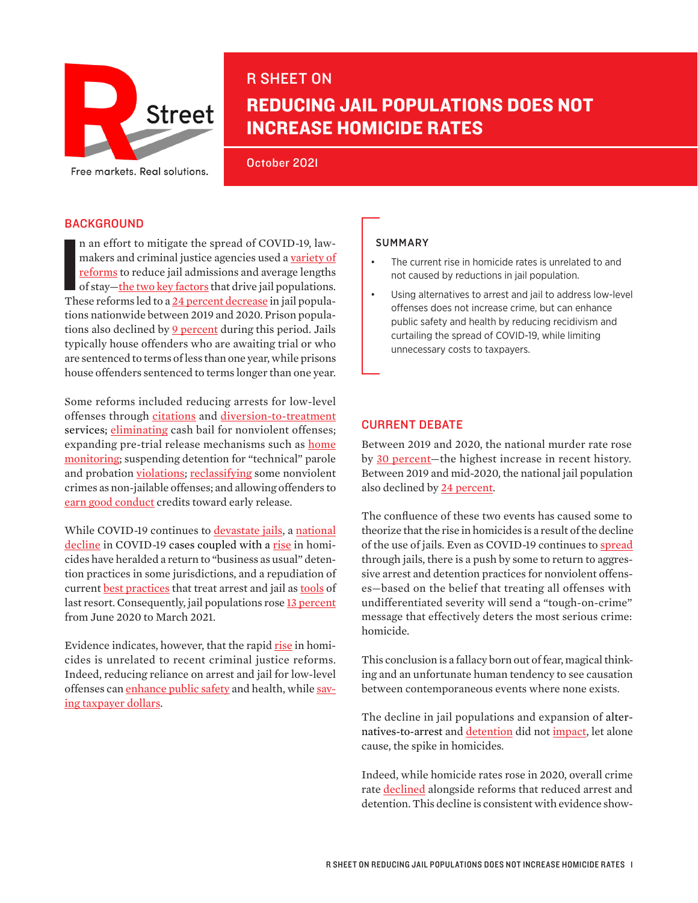

# R SHEET ON

# REDUCING JAIL POPULATIONS DOES NOT INCREASE HOMICIDE RATES

October 2021

## **BACKGROUND**

n an effort to mitigate the spread of COVID-19, law-<br>makers and criminal justice agencies used a <u>variety of<br>reforms</u> to reduce jail admissions and average lengths<br>of stay—<u>the two key factors</u> that drive jail populations. n an effort to mitigate the spread of COVID-19, lawmakers and criminal justice agencies used a [variety of](https://safetyandjusticechallenge.org/wp-content/uploads/2021/07/The-Impact-of-COVID-19-on-Crime-Arrests-and-Jail-Populations-JFA-Institute.pdf)  [reforms](https://safetyandjusticechallenge.org/wp-content/uploads/2021/07/The-Impact-of-COVID-19-on-Crime-Arrests-and-Jail-Populations-JFA-Institute.pdf) to reduce jail admissions and average lengths of stay—the [two key factors](https://www.vera.org/downloads/publications/technical-guide-to-jail-data-analysis.pdf) that drive jail populations. tions nationwide between 2019 and 2020. Prison popula-tions also declined by [9 percent](https://www.vera.org/publications/people-in-jail-and-prison-in-2020) during this period. Jails typically house offenders who are awaiting trial or who are sentenced to terms of less than one year, while prisons house offenders sentenced to terms longer than one year.

Some reforms included reducing arrests for low-level offenses through [citations](https://www.brennancenter.org/our-work/research-reports/police-responses-covid-19) and [diversion-to-treatment](https://www.click2houston.com/news/local/2021/07/23/local-program-helps-arrested-people-with-mental-illness/) services; [eliminating](https://www.cnn.com/2021/07/07/politics/bail-reform-violent-crime-fact-check/index.html) cash bail for nonviolent offenses; expanding pre-trial release mechanisms such as home [monitoring;](https://www.science.org/content/article/pandemic-inspires-new-push-shrink-jails-and-prisons) suspending detention for "technical" parole and probation [violations;](https://www.themarshallproject.org/2020/04/03/probation-and-parole-officers-are-rethinking-their-rules-as-coronavirus-spreads) reclassifying some nonviolent [crimes](https://presleycenter.ucr.edu/sites/g/files/rcwecm1576/files/2020-06/Presley%20Bulletin%20June%202020%20Final.pdf) as non-jailable offenses; and allowing offenders to [earn good conduct credits](https://www.mv-voice.com/news/2021/10/10/sheriffs-office-is-understaffed-but-santa-clara-county-says-the-data-is-old) toward early release.

While COVID-19 continues to [devastate jails,](https://www.brennancenter.org/our-work/analysis-opinion/how-covid-19-still-battering-criminal-legal-system) a national [decline in COVID-19](https://www.marketwatch.com/story/u-s-covid-19-cases-and-hospitalizations-continue-to-decline-but-experts-lament-preventable-deaths-that-have-pushed-toll-above-700-000-11633358051) cases coupled with a [rise in homi](https://www.npr.org/2021/09/27/1040904770/fbi-data-murder-increase-2020)[cides](https://www.npr.org/2021/09/27/1040904770/fbi-data-murder-increase-2020) have heralded a return to "business as usual" detention practices in some jurisdictions, and a repudiation of current [best practices](https://www.theiacp.org/sites/default/files/2018-08/CPRP_Deconstructing%20the%20Power%20to%20Arrest_FINAL.PDF) that treat arrest and jail as tools of [last resort.](https://www.americanprogress.org/issues/criminal-justice/news/2020/04/14/483165/policing-coronavirus-pandemic/) Consequently, jail populations [rose 13 percent](https://www.vera.org/newsroom/incarceration-declined-only-slightly-from-fall-2020-to-spring-2021-after-an-unprecedented-drop-in-incarceration-in-2020) from June 2020 to March 2021.

Evidence indicates, however, that the rapid [rise](https://newrepublic.com/article/162634/criminal-justice-reform-violent-crime) in homicides is unrelated to recent criminal justice reforms. Indeed, reducing reliance on arrest and jail for low-level offenses can *enhance public safety* and health, while [sav](https://safeandjust.org/wp-content/uploads/StoppingLowLevelCrimeBrief_7.10.15.pdf)[ing taxpayer dollars.](https://safeandjust.org/wp-content/uploads/StoppingLowLevelCrimeBrief_7.10.15.pdf)

#### SUMMARY

- The current rise in homicide rates is unrelated to and not caused by reductions in jail population.
- Using alternatives to arrest and jail to address low-level offenses does not increase crime, but can enhance public safety and health by reducing recidivism and curtailing the spread of COVID-19, while limiting unnecessary costs to taxpayers.

## CURRENT DEBATE

Between 2019 and 2020, the national murder rate rose by [30 percent](https://www.cnn.com/2021/10/06/health/us-homicide-rate-increase-nchs-study/index.html)—the highest increase in recent history. Between 2019 and mid-2020, the national jail population also declined by [24 percent](https://www.vera.org/newsroom/local-jail-populations-in-the-u-s-on-the-rise-again-state-prison-population-declines-level-off-as-covid-spreads-throughout-the-prison-system).

The confluence of these two events has caused some to theorize that the rise in homicides is a result of the decline of the use of jails. Even as COVID-19 continues to [spread](https://www.prisonpolicy.org/blog/2021/06/23/june2021_population/) through jails, there is a push by some to return to aggressive arrest and detention practices for nonviolent offenses—based on the belief that treating all offenses with undifferentiated severity will send a "tough-on-crime" message that effectively deters the most serious crime: homicide.

This conclusion is a fallacy born out of fear, magical thinking and an unfortunate human tendency to see causation between contemporaneous events where none exists.

The decline in jail populations and expansion of alternatives-to-arrest and [detention](https://www.wbez.org/stories/blaming-chicagos-violence-on-bail-reform-is-wrong-new-study-finds/dd33c55a-f3da-4d8a-b87b-ae5027d1f044) did not [impact](https://newrepublic.com/article/162634/criminal-justice-reform-violent-crime), let alone cause, the spike in homicides.

Indeed, while homicide rates rose in 2020, overall crime rate [declined](https://usafacts.org/articles/homicides-increased-by-25-but-overall-crime-rate-fell-in-2020/) alongside reforms that reduced arrest and detention. This decline is consistent with evidence show